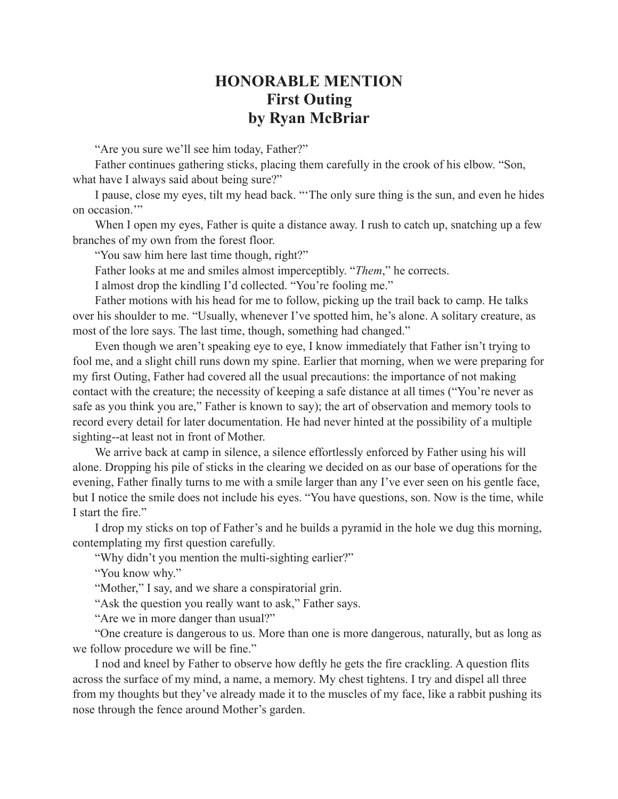## **HONORABLE MENTION First Outing by Ryan McBriar**

"Are you sure we'll see him today, Father?"

Father continues gathering sticks, placing them carefully in the crook of his elbow. "Son, what have I always said about being sure?"

I pause, close my eyes, tilt my head back. "'The only sure thing is the sun, and even he hides on occasion."

When I open my eyes, Father is quite a distance away. I rush to catch up, snatching up a few branches of my own from the forest floor.

"You saw him here last time though, right?"

Father looks at me and smiles almost imperceptibly. "*Them*," he corrects.

I almost drop the kindling I'd collected. "You're fooling me."

Father motions with his head for me to follow, picking up the trail back to camp. He talks over his shoulder to me. "Usually, whenever I've spotted him, he's alone. A solitary creature, as most of the lore says. The last time, though, something had changed."

Even though we aren't speaking eye to eye, I know immediately that Father isn't trying to fool me, and a slight chill runs down my spine. Earlier that morning, when we were preparing for my first Outing, Father had covered all the usual precautions: the importance of not making contact with the creature; the necessity of keeping a safe distance at all times ("You're never as safe as you think you are," Father is known to say); the art of observation and memory tools to record every detail for later documentation. He had never hinted at the possibility of a multiple sighting--at least not in front of Mother.

We arrive back at camp in silence, a silence effortlessly enforced by Father using his will alone. Dropping his pile of sticks in the clearing we decided on as our base of operations for the evening, Father finally turns to me with a smile larger than any I've ever seen on his gentle face, but I notice the smile does not include his eyes. "You have questions, son. Now is the time, while I start the fire."

I drop my sticks on top of Father's and he builds a pyramid in the hole we dug this morning, contemplating my first question carefully.

"Why didn't you mention the multi-sighting earlier?"

"You know why."

"Mother," I say, and we share a conspiratorial grin.

"Ask the question you really want to ask," Father says.

"Are we in more danger than usual?"

"One creature is dangerous to us. More than one is more dangerous, naturally, but as long as we follow procedure we will be fine."

I nod and kneel by Father to observe how deftly he gets the fire crackling. A question flits across the surface of my mind, a name, a memory. My chest tightens. I try and dispel all three from my thoughts but they've already made it to the muscles of my face, like a rabbit pushing its nose through the fence around Mother's garden.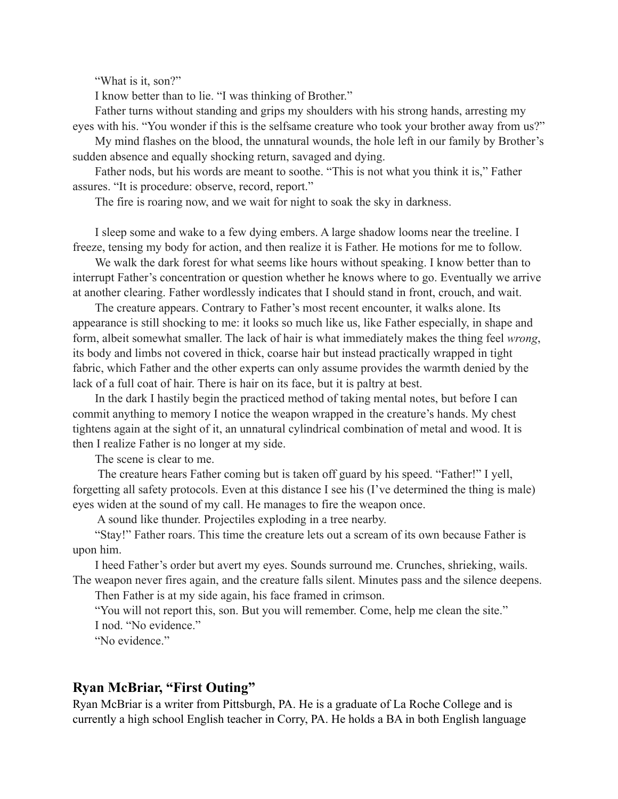"What is it, son?"

I know better than to lie. "I was thinking of Brother."

Father turns without standing and grips my shoulders with his strong hands, arresting my eyes with his. "You wonder if this is the selfsame creature who took your brother away from us?"

My mind flashes on the blood, the unnatural wounds, the hole left in our family by Brother's sudden absence and equally shocking return, savaged and dying.

Father nods, but his words are meant to soothe. "This is not what you think it is," Father assures. "It is procedure: observe, record, report."

The fire is roaring now, and we wait for night to soak the sky in darkness.

I sleep some and wake to a few dying embers. A large shadow looms near the treeline. I freeze, tensing my body for action, and then realize it is Father. He motions for me to follow.

We walk the dark forest for what seems like hours without speaking. I know better than to interrupt Father's concentration or question whether he knows where to go. Eventually we arrive at another clearing. Father wordlessly indicates that I should stand in front, crouch, and wait.

The creature appears. Contrary to Father's most recent encounter, it walks alone. Its appearance is still shocking to me: it looks so much like us, like Father especially, in shape and form, albeit somewhat smaller. The lack of hair is what immediately makes the thing feel *wrong*, its body and limbs not covered in thick, coarse hair but instead practically wrapped in tight fabric, which Father and the other experts can only assume provides the warmth denied by the lack of a full coat of hair. There is hair on its face, but it is paltry at best.

In the dark I hastily begin the practiced method of taking mental notes, but before I can commit anything to memory I notice the weapon wrapped in the creature's hands. My chest tightens again at the sight of it, an unnatural cylindrical combination of metal and wood. It is then I realize Father is no longer at my side.

The scene is clear to me.

 The creature hears Father coming but is taken off guard by his speed. "Father!" I yell, forgetting all safety protocols. Even at this distance I see his (I've determined the thing is male) eyes widen at the sound of my call. He manages to fire the weapon once.

A sound like thunder. Projectiles exploding in a tree nearby.

"Stay!" Father roars. This time the creature lets out a scream of its own because Father is upon him.

I heed Father's order but avert my eyes. Sounds surround me. Crunches, shrieking, wails. The weapon never fires again, and the creature falls silent. Minutes pass and the silence deepens.

Then Father is at my side again, his face framed in crimson.

"You will not report this, son. But you will remember. Come, help me clean the site." I nod. "No evidence."

"No evidence."

## **Ryan McBriar, "First Outing"**

Ryan McBriar is a writer from Pittsburgh, PA. He is a graduate of La Roche College and is currently a high school English teacher in Corry, PA. He holds a BA in both English language